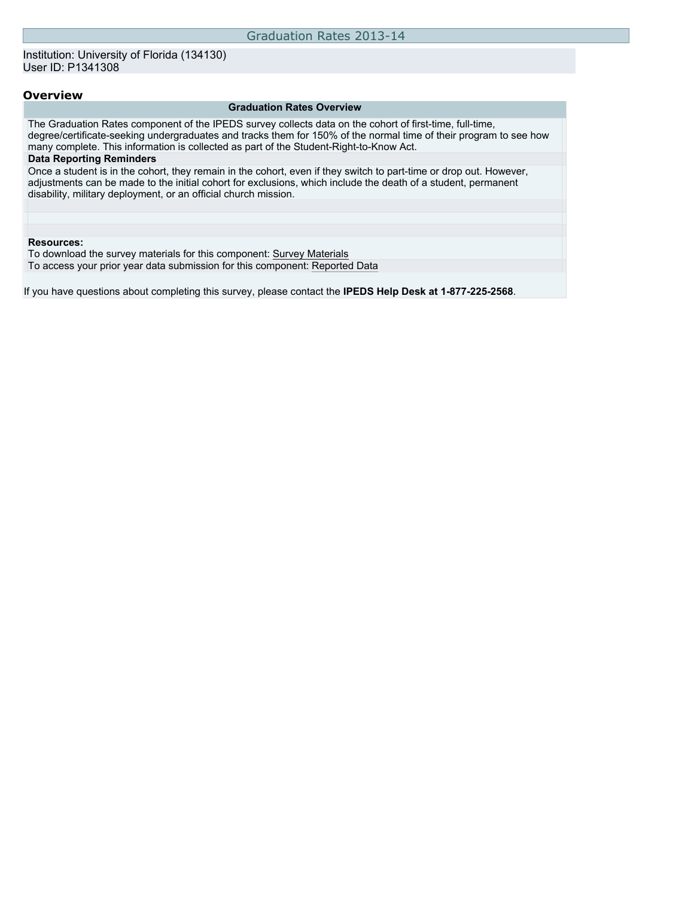#### **Overview**

#### **Graduation Rates Overview**

The Graduation Rates component of the IPEDS survey collects data on the cohort of first-time, full-time, degree/certificate-seeking undergraduates and tracks them for 150% of the normal time of their program to see how many complete. This information is collected as part of the Student-Right-to-Know Act. **Data Reporting Reminders** Once a student is in the cohort, they remain in the cohort, even if they switch to part-time or drop out. However, adjustments can be made to the initial cohort for exclusions, which include the death of a student, permanent disability, military deployment, or an official church mission. **Resources:** To download the survey materials for this component: [Survey Materials](https://surveys.nces.ed.gov/ipeds/VisIndex.aspx) To access your prior year data submission for this component: [Reported Data](https://surveys.nces.ed.gov/IPEDS/PriorYearDataRedirect.aspx?survey_id=4)

If you have questions about completing this survey, please contact the **IPEDS Help Desk at 1-877-225-2568**.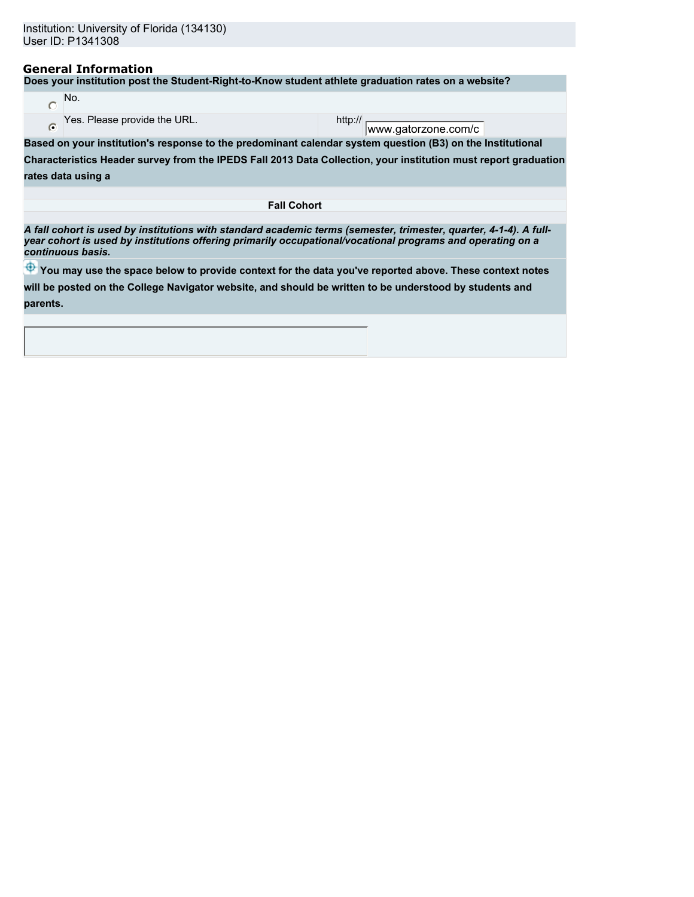## **General Information**

**Does your institution post the Student-Right-to-Know student athlete graduation rates on a website?**

| No.                          |                      |
|------------------------------|----------------------|
| Yes. Please provide the URL. | http://<br>www.astor |

www.gatorzone.com/c

**Based on your institution's response to the predominant calendar system question (B3) on the Institutional**

**Characteristics Header survey from the IPEDS Fall 2013 Data Collection, your institution must report graduation**

**rates data using a**

**Fall Cohort**

*A fall cohort is used by institutions with standard academic terms (semester, trimester, quarter, 4-1-4). A fullyear cohort is used by institutions offering primarily occupational/vocational programs and operating on a continuous basis.*

 $\bigoplus$  **You may use the space below to provide context for the data you've reported above. These context notes** 

**will be posted on the College Navigator website, and should be written to be understood by students and**

**parents.**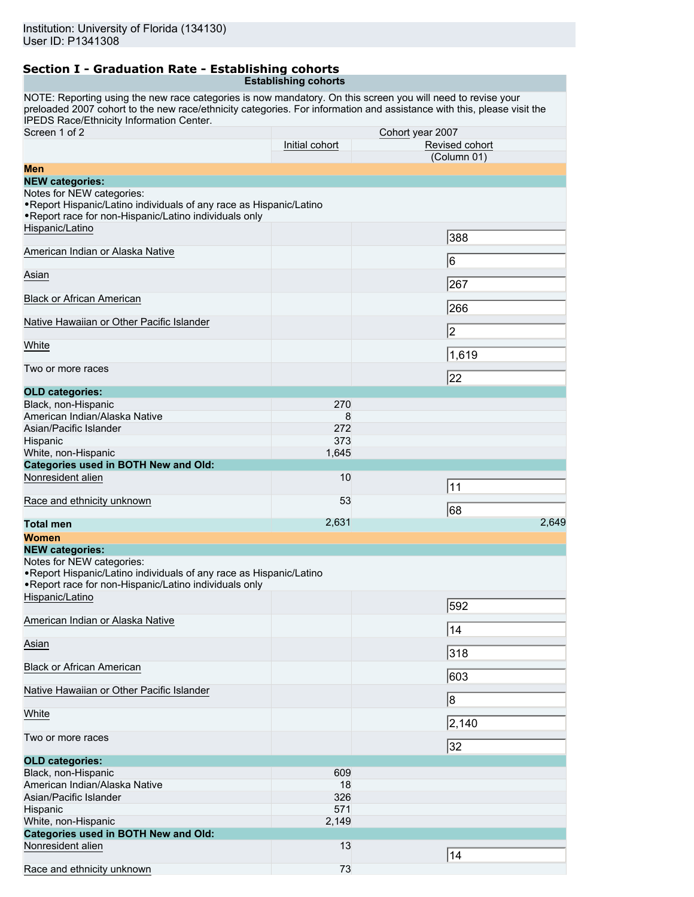#### **Section I - Graduation Rate - Establishing cohorts Establishing cohorts**

NOTE: Reporting using the new race categories is now mandatory. On this screen you will need to revise your preloaded 2007 cohort to the new race/ethnicity categories. For information and assistance with this, please visit the [IPEDS Race/Ethnicity Information Center.](http://nces.ed.gov/ipeds/reic/resource.asp)

| Screen 1 of 2                                                                                                                 | Cohort year 2007 |                |       |  |  |
|-------------------------------------------------------------------------------------------------------------------------------|------------------|----------------|-------|--|--|
|                                                                                                                               | Initial cohort   | Revised cohort |       |  |  |
|                                                                                                                               |                  | (Column 01)    |       |  |  |
| Men<br><b>NEW categories:</b>                                                                                                 |                  |                |       |  |  |
| Notes for NEW categories:<br>. Report Hispanic/Latino individuals of any race as Hispanic/Latino                              |                  |                |       |  |  |
| . Report race for non-Hispanic/Latino individuals only<br>Hispanic/Latino                                                     |                  |                |       |  |  |
|                                                                                                                               |                  | 388            |       |  |  |
| American Indian or Alaska Native                                                                                              |                  | 6              |       |  |  |
| Asian                                                                                                                         |                  | 267            |       |  |  |
| <b>Black or African American</b>                                                                                              |                  | 266            |       |  |  |
| Native Hawaiian or Other Pacific Islander                                                                                     |                  |                |       |  |  |
| White                                                                                                                         |                  | 2              |       |  |  |
|                                                                                                                               |                  | 1,619          |       |  |  |
| Two or more races                                                                                                             |                  | 22             |       |  |  |
| <b>OLD categories:</b>                                                                                                        |                  |                |       |  |  |
| Black, non-Hispanic                                                                                                           | 270              |                |       |  |  |
| American Indian/Alaska Native                                                                                                 | 8                |                |       |  |  |
| Asian/Pacific Islander                                                                                                        | 272              |                |       |  |  |
| Hispanic                                                                                                                      | 373              |                |       |  |  |
| White, non-Hispanic                                                                                                           | 1,645            |                |       |  |  |
| <b>Categories used in BOTH New and Old:</b>                                                                                   |                  |                |       |  |  |
| Nonresident alien                                                                                                             | 10               |                |       |  |  |
|                                                                                                                               |                  | 11             |       |  |  |
| Race and ethnicity unknown                                                                                                    | 53               |                |       |  |  |
|                                                                                                                               |                  | 68             |       |  |  |
| <b>Total men</b>                                                                                                              | 2,631            |                | 2,649 |  |  |
| <b>Women</b>                                                                                                                  |                  |                |       |  |  |
| <b>NEW categories:</b>                                                                                                        |                  |                |       |  |  |
| Notes for NEW categories:                                                                                                     |                  |                |       |  |  |
| . Report Hispanic/Latino individuals of any race as Hispanic/Latino<br>. Report race for non-Hispanic/Latino individuals only |                  |                |       |  |  |
| Hispanic/Latino                                                                                                               |                  | 592            |       |  |  |
| American Indian or Alaska Native                                                                                              |                  | 14             |       |  |  |
| Asian                                                                                                                         |                  | 318            |       |  |  |
| <b>Black or African American</b>                                                                                              |                  |                |       |  |  |
| Native Hawaiian or Other Pacific Islander                                                                                     |                  | 603            |       |  |  |
| White                                                                                                                         |                  | $\overline{8}$ |       |  |  |
|                                                                                                                               |                  | 2,140          |       |  |  |
| Two or more races                                                                                                             |                  | 32             |       |  |  |
| <b>OLD categories:</b>                                                                                                        |                  |                |       |  |  |
| Black, non-Hispanic                                                                                                           | 609              |                |       |  |  |
| American Indian/Alaska Native                                                                                                 | 18               |                |       |  |  |
| Asian/Pacific Islander                                                                                                        | 326              |                |       |  |  |
| Hispanic                                                                                                                      | 571              |                |       |  |  |
| White, non-Hispanic                                                                                                           | 2,149            |                |       |  |  |
| <b>Categories used in BOTH New and Old:</b>                                                                                   |                  |                |       |  |  |
| Nonresident alien                                                                                                             | 13               |                |       |  |  |
|                                                                                                                               |                  | 14             |       |  |  |
| Race and ethnicity unknown                                                                                                    | 73               |                |       |  |  |
|                                                                                                                               |                  |                |       |  |  |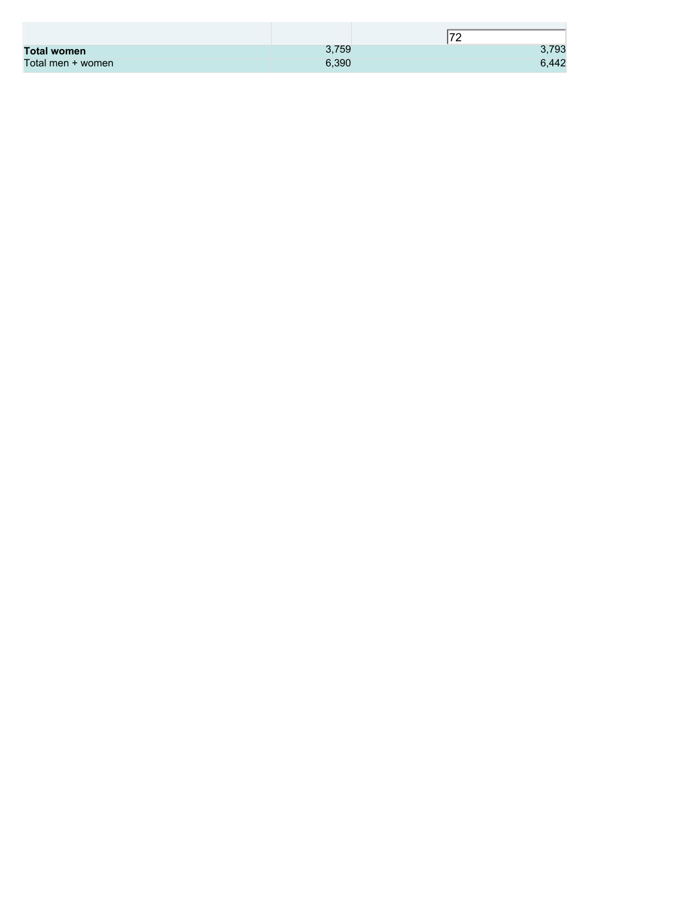|                    |       | 70<br>$\epsilon$ |
|--------------------|-------|------------------|
| <b>Total women</b> | 3,759 | 3,793            |
| Total men + women  | 6,390 | 6,442            |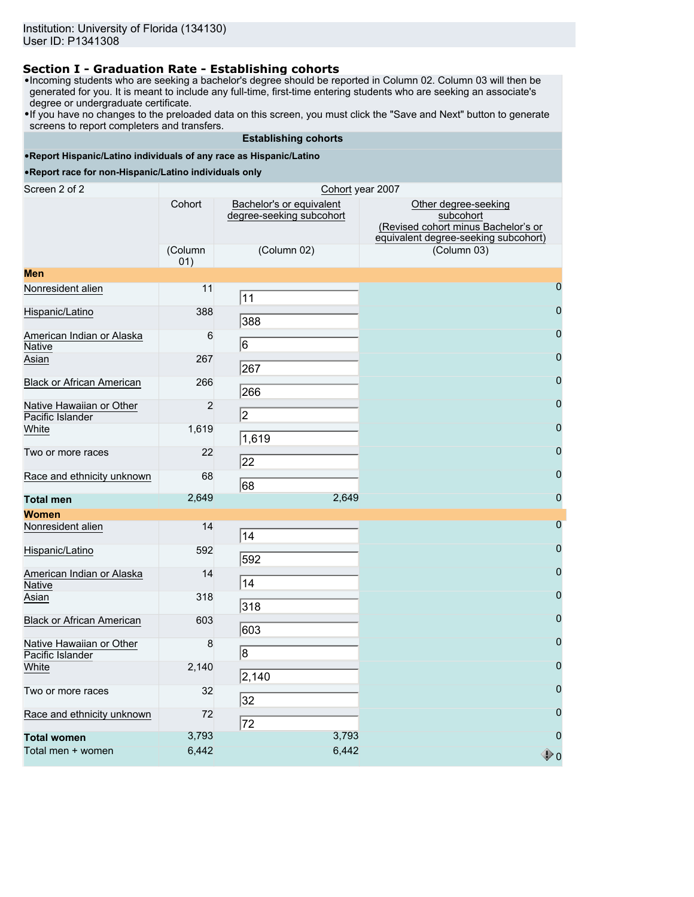## **Section I - Graduation Rate - Establishing cohorts**

- •Incoming students who are seeking a bachelor's degree should be reported in Column 02. Column 03 will then be generated for you. It is meant to include any full-time, first-time entering students who are seeking an associate's degree or undergraduate certificate.
- •If you have no changes to the preloaded data on this screen, you must click the "Save and Next" button to generate screens to report completers and transfers.

#### **Establishing cohorts**

#### •**Report Hispanic/Latino individuals of any race as Hispanic/Latino**

| Screen 2 of 2<br>Cohort year 2007            |                |                                                      |                                                                                                                  |  |  |  |  |
|----------------------------------------------|----------------|------------------------------------------------------|------------------------------------------------------------------------------------------------------------------|--|--|--|--|
|                                              | Cohort         | Bachelor's or equivalent<br>degree-seeking subcohort | Other degree-seeking<br>subcohort<br>(Revised cohort minus Bachelor's or<br>equivalent degree-seeking subcohort) |  |  |  |  |
|                                              | (Column<br>01) | (Column 02)                                          | (Column 03)                                                                                                      |  |  |  |  |
| <b>Men</b>                                   |                |                                                      |                                                                                                                  |  |  |  |  |
| Nonresident alien                            | 11             | 11                                                   | $\overline{0}$                                                                                                   |  |  |  |  |
| Hispanic/Latino                              | 388            | 388                                                  | 0                                                                                                                |  |  |  |  |
| American Indian or Alaska<br><b>Native</b>   | 6              | 6                                                    | $\mathbf 0$                                                                                                      |  |  |  |  |
| Asian                                        | 267            | 267                                                  | 0                                                                                                                |  |  |  |  |
| <b>Black or African American</b>             | 266            | 266                                                  | $\mathbf{0}$                                                                                                     |  |  |  |  |
| Native Hawaiian or Other<br>Pacific Islander | $\overline{2}$ | $\sqrt{2}$                                           | 0                                                                                                                |  |  |  |  |
| White                                        | 1,619          | 1,619                                                | 0                                                                                                                |  |  |  |  |
| Two or more races                            | 22             | 22                                                   | 0                                                                                                                |  |  |  |  |
| Race and ethnicity unknown                   | 68             | 68                                                   | $\pmb{0}$                                                                                                        |  |  |  |  |
| <b>Total men</b>                             | 2,649          | 2,649                                                | $\bf 0$                                                                                                          |  |  |  |  |
| <b>Women</b>                                 |                |                                                      |                                                                                                                  |  |  |  |  |
| Nonresident alien                            | 14             | 14                                                   | $\overline{0}$                                                                                                   |  |  |  |  |
| Hispanic/Latino                              | 592            | 592                                                  | $\bf 0$                                                                                                          |  |  |  |  |
| American Indian or Alaska<br><b>Native</b>   | 14             | 14                                                   | $\mathbf{0}$                                                                                                     |  |  |  |  |
| Asian                                        | 318            | 318                                                  | $\mathbf 0$                                                                                                      |  |  |  |  |
| Black or African American                    | 603            | 603                                                  | 0                                                                                                                |  |  |  |  |
| Native Hawaiian or Other<br>Pacific Islander | 8              | 8                                                    | 0                                                                                                                |  |  |  |  |
| White                                        | 2,140          | 2,140                                                | $\mathbf{0}$                                                                                                     |  |  |  |  |
| Two or more races                            | 32             | 32                                                   | $\bf{0}$                                                                                                         |  |  |  |  |
| Race and ethnicity unknown                   | 72             | 72                                                   | $\overline{0}$                                                                                                   |  |  |  |  |
| <b>Total women</b>                           | 3,793          | 3,793                                                | $\mathbf 0$                                                                                                      |  |  |  |  |
| Total men + women                            | 6,442          | 6,442                                                | $\begin{smallmatrix}\bullet\end{smallmatrix}$ o                                                                  |  |  |  |  |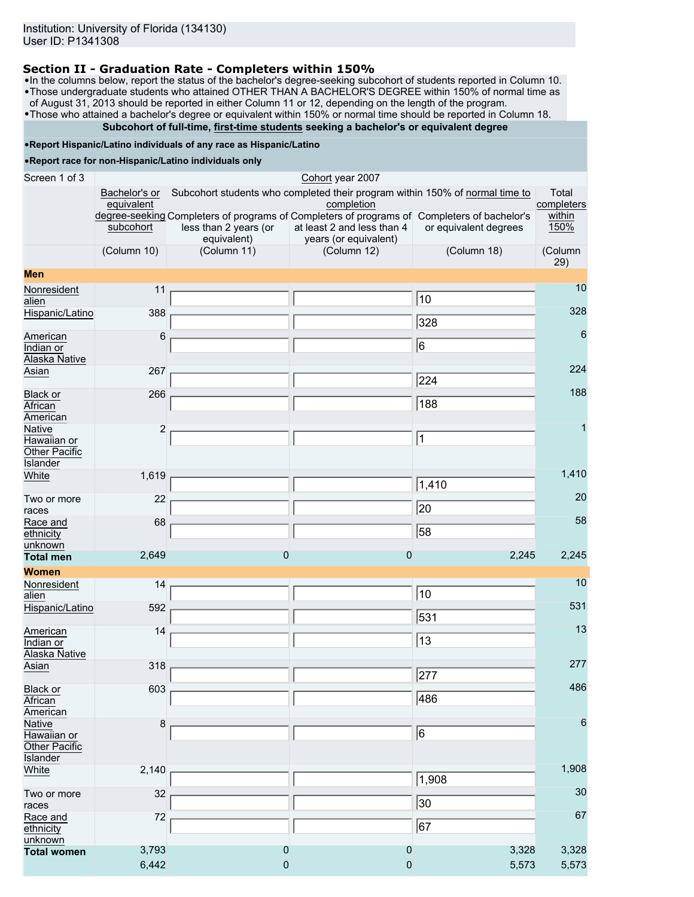## **Section II - Graduation Rate - Completers within 150%**

•In the columns below, report the status of the bachelor's degree-seeking subcohort of students reported in Column 10. •Those undergraduate students who attained OTHER THAN A BACHELOR'S DEGREE within 150% of normal time as of August 31, 2013 should be reported in either Column 11 or 12, depending on the length of the program.

•Those who attained a bachelor's degree or equivalent within 150% or normal time should be reported in Column 18.

# **Subcohort of full-time, first-time students seeking a bachelor's or equivalent degree**

## •**Report Hispanic/Latino individuals of any race as Hispanic/Latino**

| Screen 1 of 3                 | Cohort year 2007                                                                                                        |                                                                              |                            |                       |                      |  |  |  |
|-------------------------------|-------------------------------------------------------------------------------------------------------------------------|------------------------------------------------------------------------------|----------------------------|-----------------------|----------------------|--|--|--|
|                               | Bachelor's or                                                                                                           | Subcohort students who completed their program within 150% of normal time to |                            |                       |                      |  |  |  |
|                               | equivalent<br>completion<br>degree-seeking Completers of programs of Completers of programs of Completers of bachelor's |                                                                              |                            |                       | completers<br>within |  |  |  |
|                               | subcohort                                                                                                               | less than 2 years (or                                                        | at least 2 and less than 4 | or equivalent degrees | 150%                 |  |  |  |
|                               |                                                                                                                         | equivalent)                                                                  | years (or equivalent)      |                       |                      |  |  |  |
|                               | (Column 10)                                                                                                             | (Column 11)                                                                  | (Column 12)                | (Column 18)           | (Column<br>29)       |  |  |  |
| <b>Men</b>                    |                                                                                                                         |                                                                              |                            |                       |                      |  |  |  |
| Nonresident                   | 11                                                                                                                      |                                                                              |                            |                       | 10                   |  |  |  |
| alien                         |                                                                                                                         |                                                                              |                            | 10                    | 328                  |  |  |  |
| Hispanic/Latino               | 388                                                                                                                     |                                                                              |                            | 328                   |                      |  |  |  |
| American                      | 6                                                                                                                       |                                                                              |                            |                       | 6                    |  |  |  |
| Indian or                     |                                                                                                                         |                                                                              |                            | $\overline{6}$        |                      |  |  |  |
| Alaska Native<br>Asian        | 267                                                                                                                     |                                                                              |                            |                       | 224                  |  |  |  |
|                               |                                                                                                                         |                                                                              |                            | 224                   |                      |  |  |  |
| Black or                      | 266                                                                                                                     |                                                                              |                            |                       | 188                  |  |  |  |
| African<br>American           |                                                                                                                         |                                                                              |                            | 188                   |                      |  |  |  |
| Native                        | $\overline{2}$                                                                                                          |                                                                              |                            |                       | 1                    |  |  |  |
| Hawaiian or                   |                                                                                                                         |                                                                              |                            | $\overline{1}$        |                      |  |  |  |
| Other Pacific                 |                                                                                                                         |                                                                              |                            |                       |                      |  |  |  |
| <b>Islander</b><br>White      | 1,619                                                                                                                   |                                                                              |                            |                       | 1,410                |  |  |  |
|                               |                                                                                                                         |                                                                              |                            | 1,410                 |                      |  |  |  |
| Two or more                   | 22                                                                                                                      |                                                                              |                            |                       | 20                   |  |  |  |
| races                         |                                                                                                                         |                                                                              |                            | 20                    | 58                   |  |  |  |
| Race and<br>ethnicity         | 68                                                                                                                      |                                                                              |                            | 58                    |                      |  |  |  |
| unknown                       |                                                                                                                         |                                                                              |                            |                       |                      |  |  |  |
| <b>Total men</b>              | 2,649                                                                                                                   | $\Omega$                                                                     | $\overline{0}$             | 2,245                 | 2,245                |  |  |  |
| <b>Women</b>                  |                                                                                                                         |                                                                              |                            |                       | 10                   |  |  |  |
| Nonresident<br>alien          | 14                                                                                                                      |                                                                              |                            | 10                    |                      |  |  |  |
| Hispanic/Latino               | 592                                                                                                                     |                                                                              |                            |                       | 531                  |  |  |  |
|                               |                                                                                                                         |                                                                              |                            | $\overline{531}$      |                      |  |  |  |
| American<br>Indian or         | 14                                                                                                                      |                                                                              |                            | 13                    | 13                   |  |  |  |
| Alaska Native                 |                                                                                                                         |                                                                              |                            |                       |                      |  |  |  |
| Asian                         | 318                                                                                                                     |                                                                              |                            |                       | 277                  |  |  |  |
|                               |                                                                                                                         |                                                                              |                            | $\overline{277}$      | 486                  |  |  |  |
| Black or<br>African           | 603                                                                                                                     |                                                                              |                            | 486                   |                      |  |  |  |
| American                      |                                                                                                                         |                                                                              |                            |                       |                      |  |  |  |
| <b>Native</b>                 | 8                                                                                                                       |                                                                              |                            | $\overline{6}$        | 6                    |  |  |  |
| Hawaiian or<br>Other Pacific  |                                                                                                                         |                                                                              |                            |                       |                      |  |  |  |
| <b>Islander</b>               |                                                                                                                         |                                                                              |                            |                       |                      |  |  |  |
| White                         | 2,140                                                                                                                   |                                                                              |                            |                       | 1,908                |  |  |  |
|                               |                                                                                                                         |                                                                              |                            | 1,908                 | 30                   |  |  |  |
| Two or more<br>races          | 32                                                                                                                      |                                                                              |                            | $ 30\rangle$          |                      |  |  |  |
| Race and                      | 72                                                                                                                      |                                                                              |                            |                       | 67                   |  |  |  |
| ethnicity                     |                                                                                                                         |                                                                              |                            | $\overline{67}$       |                      |  |  |  |
| unknown<br><b>Total women</b> | 3,793                                                                                                                   | $\overline{0}$                                                               | $\mathbf 0$                | 3,328                 | 3,328                |  |  |  |
|                               | 6,442                                                                                                                   | $\overline{0}$                                                               | 0                          | 5,573                 | 5,573                |  |  |  |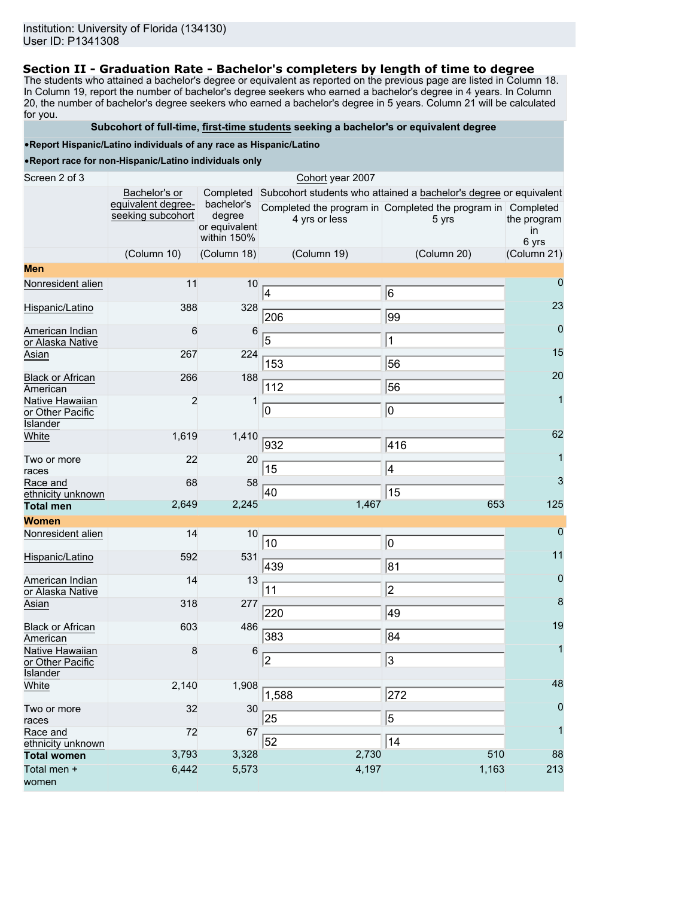### **Section II - Graduation Rate - Bachelor's completers by length of time to degree**

The students who attained a bachelor's degree or equivalent as reported on the previous page are listed in Column 18. In Column 19, report the number of bachelor's degree seekers who earned a bachelor's degree in 4 years. In Column 20, the number of bachelor's degree seekers who earned a bachelor's degree in 5 years. Column 21 will be calculated for you.

#### **Subcohort of full-time, first-time students seeking a bachelor's or equivalent degree**

#### •**Report Hispanic/Latino individuals of any race as Hispanic/Latino**

| Screen 2 of 3                           | Cohort year 2007                        |                      |               |                                                                             |                   |  |  |  |
|-----------------------------------------|-----------------------------------------|----------------------|---------------|-----------------------------------------------------------------------------|-------------------|--|--|--|
|                                         | Bachelor's or                           |                      |               | Completed Subcohort students who attained a bachelor's degree or equivalent |                   |  |  |  |
|                                         | equivalent degree-<br>seeking subcohort | bachelor's<br>degree |               | Completed the program in Completed the program in Completed                 |                   |  |  |  |
|                                         |                                         | or equivalent        | 4 yrs or less | 5 yrs                                                                       | the program<br>in |  |  |  |
|                                         |                                         | within 150%          |               |                                                                             | 6 yrs             |  |  |  |
|                                         | (Column 10)                             | (Column 18)          | (Column 19)   | (Column 20)                                                                 | (Column 21)       |  |  |  |
| <b>Men</b>                              |                                         |                      |               |                                                                             |                   |  |  |  |
| Nonresident alien                       | 11                                      | 10                   | 4             | 6                                                                           | $\overline{0}$    |  |  |  |
| Hispanic/Latino                         | 388                                     | 328                  | 206           | 99                                                                          | 23                |  |  |  |
| American Indian<br>or Alaska Native     | 6                                       | 6                    | 5             | $\mathbf 1$                                                                 | $\overline{0}$    |  |  |  |
| Asian                                   | 267                                     | 224                  |               |                                                                             | 15                |  |  |  |
|                                         |                                         |                      | 153           | 56                                                                          |                   |  |  |  |
| <b>Black or African</b><br>American     | 266                                     | 188                  | 112           | 56                                                                          | 20                |  |  |  |
| Native Hawaiian                         | $\overline{2}$                          | $\mathbf{1}$         |               |                                                                             | $\mathbf{1}$      |  |  |  |
| or Other Pacific<br><b>Islander</b>     |                                         |                      | 10            | O                                                                           |                   |  |  |  |
| White                                   | 1,619                                   | 1,410                | 932           | 416                                                                         | 62                |  |  |  |
| Two or more<br>races                    | 22                                      | 20                   | 15            | 4                                                                           | $\overline{1}$    |  |  |  |
| Race and<br>ethnicity unknown           | 68                                      | 58                   | 40            | 15                                                                          | 3                 |  |  |  |
| <b>Total men</b>                        | 2,649                                   | 2,245                | 1,467         | 653                                                                         | 125               |  |  |  |
| <b>Women</b>                            |                                         |                      |               |                                                                             |                   |  |  |  |
| Nonresident alien                       | 14                                      | 10                   | 10            | 0                                                                           | $\mathbf 0$       |  |  |  |
| Hispanic/Latino                         | 592                                     | 531                  | 439           | 81                                                                          | 11                |  |  |  |
| American Indian                         | 14                                      | 13                   |               |                                                                             | $\overline{0}$    |  |  |  |
| or Alaska Native                        |                                         |                      | 11            | $\overline{2}$                                                              | 8                 |  |  |  |
| Asian                                   | 318                                     | 277                  | 220           | 49                                                                          |                   |  |  |  |
| <b>Black or African</b><br>American     | 603                                     | 486                  | 383           | 84                                                                          | 19                |  |  |  |
| Native Hawaiian                         | 8                                       | 6                    |               | 3                                                                           | 1                 |  |  |  |
| or Other Pacific<br><b>Islander</b>     |                                         |                      | 2             |                                                                             |                   |  |  |  |
| White                                   | 2,140                                   | 1,908                |               |                                                                             | 48                |  |  |  |
| Two or more                             | 32                                      | 30                   | 1,588         | 272                                                                         | $\mathbf 0$       |  |  |  |
| races                                   |                                         |                      | 25            | $\overline{5}$                                                              |                   |  |  |  |
| Race and                                | 72                                      | 67                   | 52            | 14                                                                          | $\overline{1}$    |  |  |  |
| ethnicity unknown<br><b>Total women</b> | 3,793                                   | 3,328                | 2,730         | 510                                                                         | 88                |  |  |  |
| Total men +                             | 6,442                                   | 5,573                | 4,197         | 1,163                                                                       | 213               |  |  |  |
| women                                   |                                         |                      |               |                                                                             |                   |  |  |  |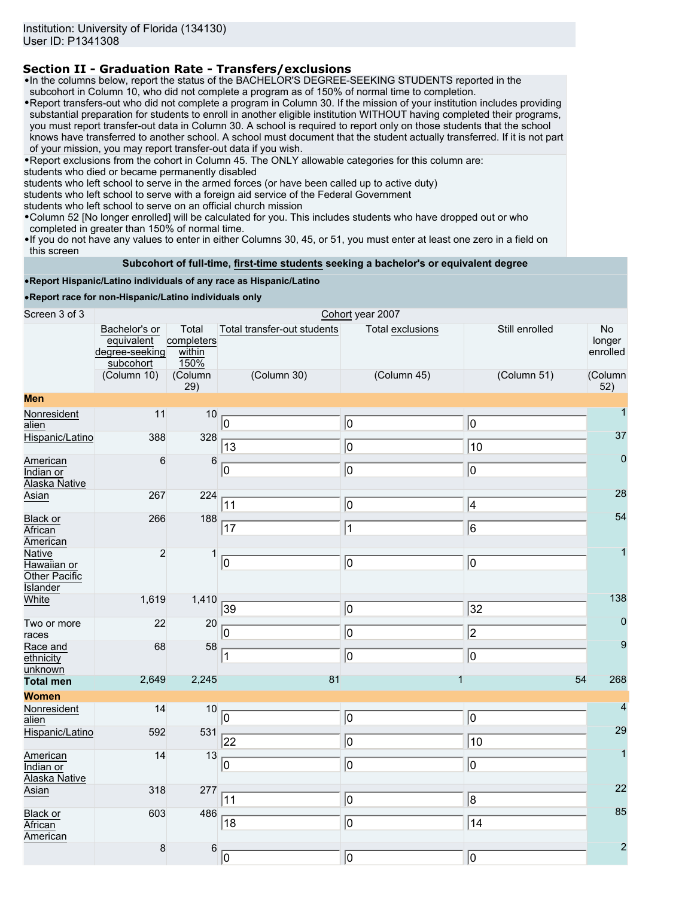# **Section II - Graduation Rate - Transfers/exclusions**

•In the columns below, report the status of the BACHELOR'S DEGREE-SEEKING STUDENTS reported in the subcohort in Column 10, who did not complete a program as of 150% of normal time to completion.

•Report transfers-out who did not complete a program in Column 30. If the mission of your institution includes providing substantial preparation for students to enroll in another eligible institution WITHOUT having completed their programs, you must report transfer-out data in Column 30. A school is required to report only on those students that the school knows have transferred to another school. A school must document that the student actually transferred. If it is not part of your mission, you may report transfer-out data if you wish.

•Report exclusions from the cohort in Column 45. The ONLY allowable categories for this column are:

students who died or became permanently disabled

students who left school to serve in the armed forces (or have been called up to active duty)

students who left school to serve with a foreign aid service of the Federal Government

students who left school to serve on an official church mission

•Column 52 [No longer enrolled] will be calculated for you. This includes students who have dropped out or who completed in greater than 150% of normal time.

•If you do not have any values to enter in either Columns 30, 45, or 51, you must enter at least one zero in a field on this screen

#### **Subcohort of full-time, first-time students seeking a bachelor's or equivalent degree**

#### •**Report Hispanic/Latino individuals of any race as Hispanic/Latino**

| Screen 3 of 3                                                    |                                                            |                                       |                             | Cohort year 2007 |                 |                                 |
|------------------------------------------------------------------|------------------------------------------------------------|---------------------------------------|-----------------------------|------------------|-----------------|---------------------------------|
|                                                                  | Bachelor's or<br>equivalent<br>degree-seeking<br>subcohort | Total<br>completers<br>within<br>150% | Total transfer-out students | Total exclusions | Still enrolled  | <b>No</b><br>longer<br>enrolled |
|                                                                  | (Column 10)                                                | (Column<br>29)                        | (Column 30)                 | (Column 45)      | (Column 51)     | (Column<br>52)                  |
| <b>Men</b>                                                       |                                                            |                                       |                             |                  |                 |                                 |
| Nonresident<br>alien                                             | 11                                                         | 10                                    | 10                          | 0                | 10              | $\mathbf{1}$                    |
| Hispanic/Latino                                                  | 388                                                        | 328                                   | 13                          | o                | $\overline{10}$ | 37                              |
| American<br>Indian or<br>Alaska Native                           | $\,6$                                                      | $\,6$                                 | 0                           | ⊚                | o               | $\mathbf 0$                     |
| Asian                                                            | 267                                                        | 224                                   | 11                          | O                | 4               | 28                              |
| <b>Black or</b><br>African<br>American                           | 266                                                        | 188                                   | 17                          | $\vert$ 1        | 6               | 54                              |
| <b>Native</b><br>Hawaiian or<br>Other Pacific<br><b>Islander</b> | $\overline{c}$                                             | $\mathbf{1}$                          | $ 0\rangle$                 | 10               | 10              | 1                               |
| White                                                            | 1,619                                                      | 1,410                                 | 39                          | 0                | 32              | 138                             |
| Two or more<br>races                                             | 22                                                         | 20                                    | 10                          | o                | $\sqrt{2}$      | $\mathbf 0$                     |
| Race and<br>ethnicity<br>unknown                                 | 68                                                         | 58                                    | 1                           | 0                | 0               | 9                               |
| <b>Total men</b>                                                 | 2,649                                                      | 2,245                                 | 81                          | 1                | 54              | 268                             |
| <b>Women</b>                                                     |                                                            |                                       |                             |                  |                 |                                 |
| Nonresident<br>alien                                             | 14                                                         | 10                                    | 0                           | 0                | 0               | $\overline{4}$                  |
| Hispanic/Latino                                                  | 592                                                        | 531                                   | 22                          | ⊚                | 10              | 29                              |
| American<br>Indian or<br>Alaska Native                           | 14                                                         | 13                                    | 10                          | ⊚                | $\overline{0}$  | $\overline{1}$                  |
| Asian                                                            | 318                                                        | 277                                   | 11                          | $ 0\rangle$      | 8               | 22                              |
| <b>Black or</b><br>African<br>American                           | 603                                                        | 486                                   | 18                          | ⊚                | $\overline{14}$ | 85                              |
|                                                                  | $\bf 8$                                                    | $\,6$                                 | 10                          | 0                | lo              | $\overline{2}$                  |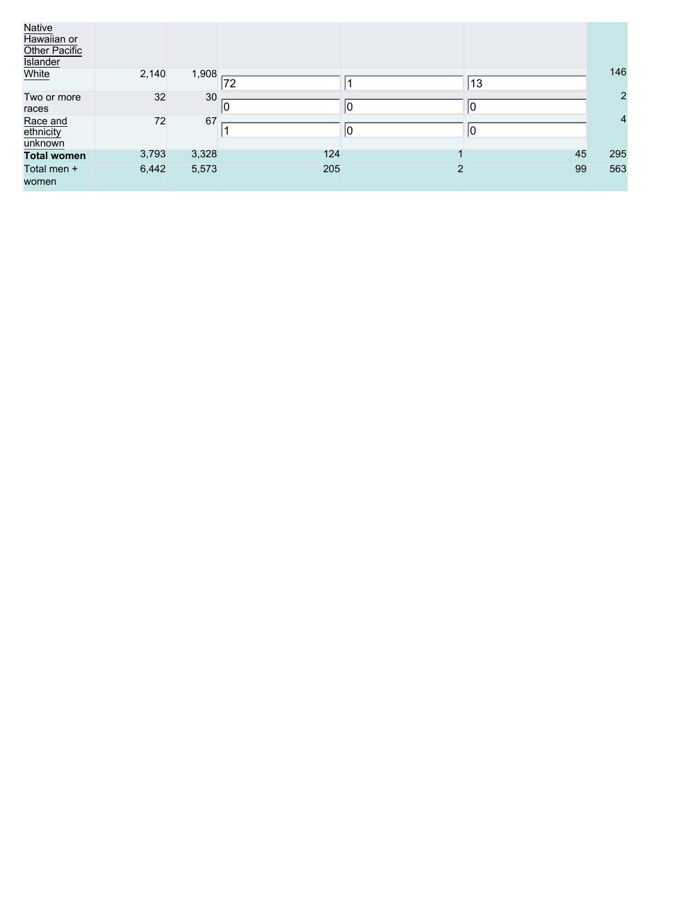| Native<br>Hawaiian or<br>Other Pacific<br><b>Islander</b> |       |       |     |                |    |                |
|-----------------------------------------------------------|-------|-------|-----|----------------|----|----------------|
| White                                                     | 2,140 | 1,908 | 72  |                | 13 | 146            |
| Two or more<br>races                                      | 32    | 30    | 10  | $ 0\rangle$    | 10 | $\overline{2}$ |
| Race and<br>ethnicity<br>unknown                          | 72    | 67    |     | $ 0\rangle$    | 10 | $\overline{4}$ |
| <b>Total women</b>                                        | 3,793 | 3,328 | 124 |                | 45 | 295            |
| Total men +<br>women                                      | 6,442 | 5,573 | 205 | $\overline{2}$ | 99 | 563            |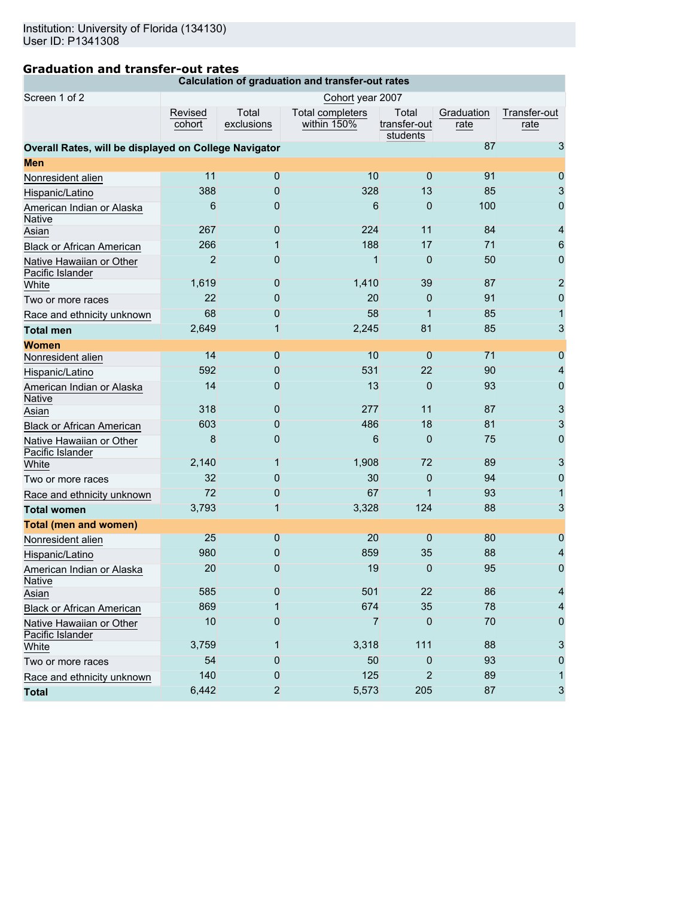## **Graduation and transfer-out rates**

**Calculation of graduation and transfer-out rates**

| Screen 1 of 2                                         |                   |                     | Cohort year 2007                |                                   |                    |                      |
|-------------------------------------------------------|-------------------|---------------------|---------------------------------|-----------------------------------|--------------------|----------------------|
|                                                       | Revised<br>cohort | Total<br>exclusions | Total completers<br>within 150% | Total<br>transfer-out<br>students | Graduation<br>rate | Transfer-out<br>rate |
| Overall Rates, will be displayed on College Navigator |                   |                     |                                 |                                   | 87                 | 3                    |
| Men                                                   |                   |                     |                                 |                                   |                    |                      |
| Nonresident alien                                     | 11                | $\overline{0}$      | 10                              | $\mathbf{0}$                      | 91                 | $\overline{0}$       |
| Hispanic/Latino                                       | 388               | 0                   | 328                             | 13                                | 85                 | 3                    |
| American Indian or Alaska<br>Native                   | 6                 | 0                   | 6                               | 0                                 | 100                | $\mathbf 0$          |
| Asian                                                 | 267               | 0                   | 224                             | 11                                | 84                 | $\overline{4}$       |
| Black or African American                             | 266               | 1                   | 188                             | 17                                | 71                 | 6                    |
| Native Hawaiian or Other<br>Pacific Islander          | $\overline{2}$    | 0                   | $\overline{1}$                  | $\overline{0}$                    | 50                 | $\mathbf{0}$         |
| White                                                 | 1,619             | 0                   | 1,410                           | 39                                | 87                 | $\overline{2}$       |
| Two or more races                                     | 22                | 0                   | 20                              | $\mathbf 0$                       | 91                 | $\mathbf 0$          |
| Race and ethnicity unknown                            | 68                | 0                   | 58                              | 1                                 | 85                 | $\vert$              |
| <b>Total men</b>                                      | 2,649             | $\mathbf{1}$        | 2,245                           | 81                                | 85                 | 3                    |
| <b>Women</b>                                          |                   |                     |                                 |                                   |                    |                      |
| Nonresident alien                                     | 14                | 0                   | 10                              | $\mathbf 0$                       | 71                 | $\overline{0}$       |
| Hispanic/Latino                                       | 592               | 0                   | 531                             | 22                                | 90                 | $\overline{4}$       |
| American Indian or Alaska<br><b>Native</b>            | 14                | 0                   | 13                              | $\overline{0}$                    | 93                 | $\mathbf 0$          |
| Asian                                                 | 318               | 0                   | 277                             | 11                                | 87                 | 3                    |
| <b>Black or African American</b>                      | 603               | 0                   | 486                             | 18                                | 81                 | 3                    |
| Native Hawaiian or Other<br>Pacific Islander          | 8                 | $\mathbf 0$         | 6                               | $\overline{0}$                    | 75                 | $\mathbf 0$          |
| White                                                 | 2,140             | 1                   | 1,908                           | 72                                | 89                 | 3                    |
| Two or more races                                     | 32                | 0                   | 30                              | 0                                 | 94                 | $\mathbf 0$          |
| Race and ethnicity unknown                            | 72                | 0                   | 67                              | 1                                 | 93                 | $\mathbf{1}$         |
| <b>Total women</b>                                    | 3,793             | $\mathbf{1}$        | 3,328                           | 124                               | 88                 | 3                    |
| <b>Total (men and women)</b>                          |                   |                     |                                 |                                   |                    |                      |
| Nonresident alien                                     | 25                | $\overline{0}$      | 20                              | $\overline{0}$                    | 80                 | $\overline{0}$       |
| Hispanic/Latino                                       | 980               | 0                   | 859                             | 35                                | 88                 | 4                    |
| American Indian or Alaska<br>Native                   | 20                | $\overline{0}$      | 19                              | $\overline{0}$                    | 95                 | $\mathbf 0$          |
| Asian                                                 | 585               | 0                   | 501                             | 22                                | 86                 | 4                    |
| Black or African American                             | 869               | 1                   | 674                             | 35                                | 78                 | 4                    |
| Native Hawaiian or Other<br>Pacific Islander          | 10                | $\mathbf 0$         | $\overline{7}$                  | 0                                 | 70                 | 0                    |
| White                                                 | 3,759             | 1                   | 3,318                           | 111                               | 88                 | 3                    |
| Two or more races                                     | 54                | 0                   | 50                              | 0                                 | 93                 | O                    |
| Race and ethnicity unknown                            | 140               | 0                   | 125                             | 2                                 | 89                 |                      |
| <b>Total</b>                                          | 6,442             | $\overline{2}$      | 5,573                           | 205                               | 87                 | 3                    |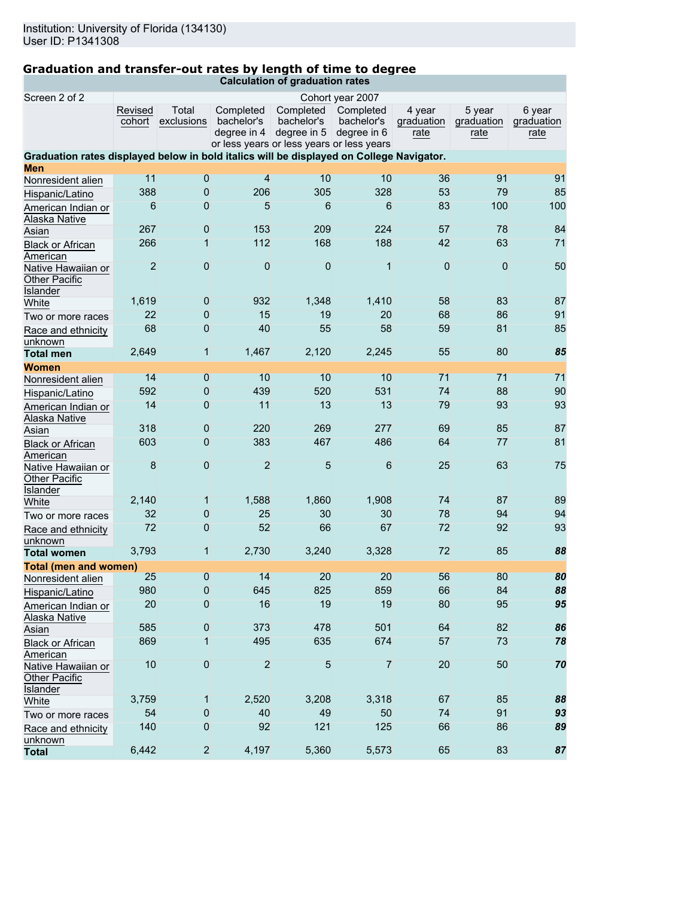# **Graduation and transfer-out rates by length of time to degree**

|  |  |  | Calculation of graduation rates |  |
|--|--|--|---------------------------------|--|

| Screen 2 of 2<br>Cohort year 2007                                                        |                   |                     |                                                          |                         |                         |                      |                      |                      |
|------------------------------------------------------------------------------------------|-------------------|---------------------|----------------------------------------------------------|-------------------------|-------------------------|----------------------|----------------------|----------------------|
|                                                                                          | Revised<br>cohort | Total<br>exclusions | Completed<br>bachelor's                                  | Completed<br>bachelor's | Completed<br>bachelor's | 4 year<br>graduation | 5 year<br>graduation | 6 year<br>graduation |
|                                                                                          |                   |                     | degree in 4<br>or less years or less years or less years | degree in 5             | degree in 6             | rate                 | rate                 | rate                 |
| Graduation rates displayed below in bold italics will be displayed on College Navigator. |                   |                     |                                                          |                         |                         |                      |                      |                      |
| <b>Men</b>                                                                               |                   |                     |                                                          |                         |                         |                      |                      |                      |
| Nonresident alien                                                                        | 11                | 0                   | $\overline{4}$                                           | 10                      | 10                      | 36                   | 91                   | 91                   |
| Hispanic/Latino                                                                          | 388               | 0                   | 206                                                      | 305                     | 328                     | 53                   | 79                   | 85                   |
| American Indian or<br>Alaska Native                                                      | 6                 | 0                   | 5                                                        | 6                       | 6                       | 83                   | 100                  | 100                  |
| Asian                                                                                    | 267               | 0                   | 153                                                      | 209                     | 224                     | 57                   | 78                   | 84                   |
| <b>Black or African</b><br>American                                                      | 266               | 1                   | 112                                                      | 168                     | 188                     | 42                   | 63                   | 71                   |
| Native Hawaiian or<br><b>Other Pacific</b><br>Islander                                   | $\overline{2}$    | $\overline{0}$      | $\mathbf 0$                                              | $\overline{0}$          | $\overline{1}$          | $\mathbf 0$          | $\theta$             | 50                   |
| White                                                                                    | 1,619             | 0                   | 932                                                      | 1,348                   | 1,410                   | 58                   | 83                   | 87                   |
| Two or more races                                                                        | 22                | $\mathbf 0$         | 15                                                       | 19                      | 20                      | 68                   | 86                   | 91                   |
| Race and ethnicity                                                                       | 68                | $\overline{0}$      | 40                                                       | 55                      | 58                      | 59                   | 81                   | 85                   |
| unknown                                                                                  |                   |                     |                                                          |                         |                         |                      |                      |                      |
| <b>Total men</b>                                                                         | 2,649             | $\mathbf{1}$        | 1,467                                                    | 2,120                   | 2,245                   | 55                   | 80                   | 85                   |
| Women                                                                                    |                   |                     |                                                          |                         |                         |                      |                      |                      |
| Nonresident alien                                                                        | 14                | 0                   | 10                                                       | 10                      | 10                      | 71                   | 71                   | 71                   |
| Hispanic/Latino                                                                          | 592               | $\mathbf 0$         | 439                                                      | 520                     | 531                     | 74                   | 88                   | 90                   |
| American Indian or<br>Alaska Native                                                      | 14                | 0                   | 11                                                       | 13                      | 13                      | 79                   | 93                   | 93                   |
| Asian                                                                                    | 318               | 0                   | 220                                                      | 269                     | 277                     | 69                   | 85                   | 87                   |
| <b>Black or African</b><br>American                                                      | 603               | 0                   | 383                                                      | 467                     | 486                     | 64                   | 77                   | 81                   |
| Native Hawaiian or<br>Other Pacific<br>Islander                                          | 8                 | $\overline{0}$      | $\overline{2}$                                           | 5                       | $\sqrt{6}$              | 25                   | 63                   | 75                   |
| White                                                                                    | 2,140             | $\mathbf 1$         | 1,588                                                    | 1,860                   | 1,908                   | 74                   | 87                   | 89                   |
| Two or more races                                                                        | 32                | 0                   | 25                                                       | 30                      | 30                      | 78                   | 94                   | 94                   |
| Race and ethnicity<br>unknown                                                            | 72                | $\overline{0}$      | 52                                                       | 66                      | 67                      | 72                   | 92                   | 93                   |
| <b>Total women</b>                                                                       | 3,793             | $\mathbf 1$         | 2,730                                                    | 3,240                   | 3,328                   | 72                   | 85                   | 88                   |
| <b>Total (men and women)</b>                                                             |                   |                     |                                                          |                         |                         |                      |                      |                      |
| Nonresident alien                                                                        | 25                | $\overline{0}$      | 14                                                       | 20                      | 20                      | 56                   | 80                   | 80                   |
| Hispanic/Latino                                                                          | 980               | 0                   | 645                                                      | 825                     | 859                     | 66                   | 84                   | 88                   |
| American Indian or<br>Alaska Native                                                      | 20                | 0                   | 16                                                       | 19                      | 19                      | 80                   | 95                   | 95                   |
| Asian                                                                                    | 585               | 0                   | 373                                                      | 478                     | 501                     | 64                   | 82                   | 86                   |
| <b>Black or African</b><br>American                                                      | 869               | 1                   | 495                                                      | 635                     | 674                     | 57                   | 73                   | 78                   |
| Native Hawaiian or<br>Other Pacific<br>Islander                                          | 10                | $\overline{0}$      | $\overline{2}$                                           | 5                       | $\overline{7}$          | 20                   | 50                   | 70                   |
| White                                                                                    | 3,759             | 1                   | 2,520                                                    | 3,208                   | 3,318                   | 67                   | 85                   | 88                   |
| Two or more races                                                                        | 54                | 0                   | 40                                                       | 49                      | 50                      | 74                   | 91                   | 93                   |
| Race and ethnicity<br>unknown                                                            | 140               | $\overline{0}$      | 92                                                       | 121                     | 125                     | 66                   | 86                   | 89                   |
| <b>Total</b>                                                                             | 6,442             | $\overline{2}$      | 4,197                                                    | 5,360                   | 5,573                   | 65                   | 83                   | 87                   |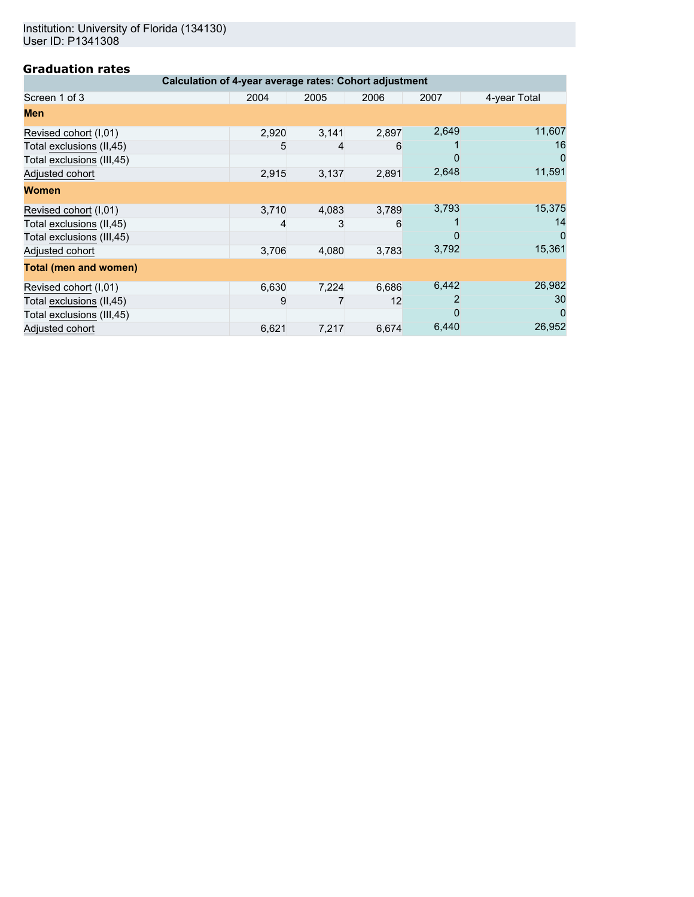Institution: University of Florida (134130) User ID: P1341308

## **Graduation rates**

| Calculation of 4-year average rates: Cohort adjustment |       |       |       |       |              |  |  |  |  |
|--------------------------------------------------------|-------|-------|-------|-------|--------------|--|--|--|--|
| Screen 1 of 3                                          | 2004  | 2005  | 2006  | 2007  | 4-year Total |  |  |  |  |
| Men                                                    |       |       |       |       |              |  |  |  |  |
| Revised cohort (I,01)                                  | 2,920 | 3,141 | 2,897 | 2,649 | 11,607       |  |  |  |  |
| Total exclusions (II,45)                               | 5     |       | 6     |       | 16           |  |  |  |  |
| Total exclusions (III,45)                              |       |       |       | O     | O            |  |  |  |  |
| Adjusted cohort                                        | 2,915 | 3,137 | 2,891 | 2,648 | 11,591       |  |  |  |  |
| <b>Women</b>                                           |       |       |       |       |              |  |  |  |  |
| Revised cohort (I,01)                                  | 3,710 | 4,083 | 3,789 | 3,793 | 15,375       |  |  |  |  |
| Total exclusions (II,45)                               |       |       | 6     |       | 14           |  |  |  |  |
| Total exclusions (III,45)                              |       |       |       | O     | O            |  |  |  |  |
| Adjusted cohort                                        | 3,706 | 4,080 | 3,783 | 3,792 | 15,361       |  |  |  |  |
| <b>Total (men and women)</b>                           |       |       |       |       |              |  |  |  |  |
| Revised cohort (I,01)                                  | 6,630 | 7,224 | 6,686 | 6,442 | 26,982       |  |  |  |  |
| Total exclusions (II,45)                               | 9     |       | 12    |       | 30           |  |  |  |  |
| Total exclusions (III,45)                              |       |       |       |       | $\Omega$     |  |  |  |  |
| Adjusted cohort                                        | 6,621 | 7,217 | 6,674 | 6,440 | 26,952       |  |  |  |  |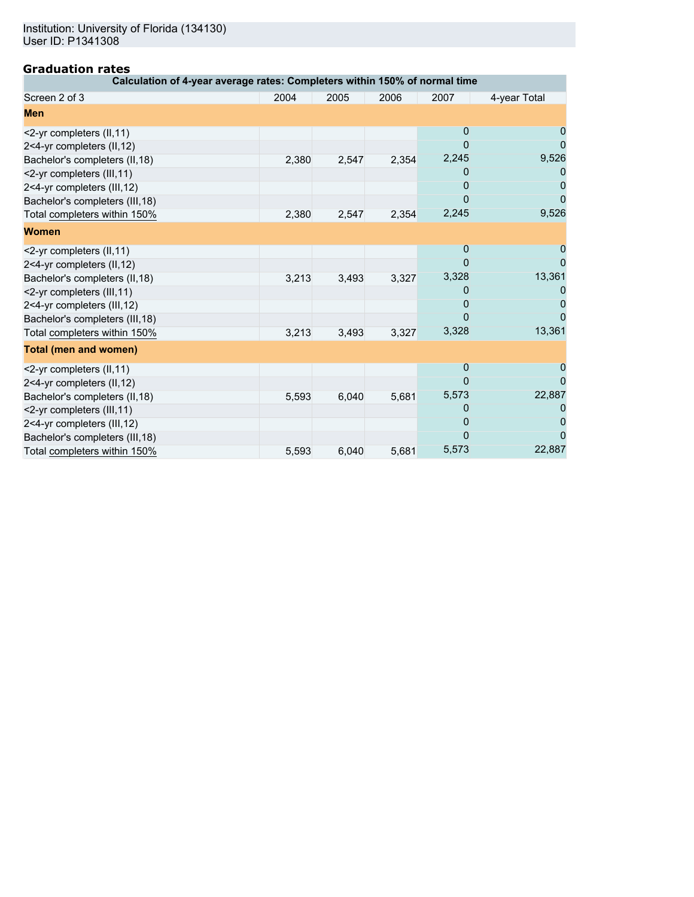# **Graduation rates**

| Calculation of 4-year average rates: Completers within 150% of normal time |       |       |       |                |              |
|----------------------------------------------------------------------------|-------|-------|-------|----------------|--------------|
| Screen 2 of 3                                                              | 2004  | 2005  | 2006  | 2007           | 4-year Total |
| <b>Men</b>                                                                 |       |       |       |                |              |
| <2-yr completers (II,11)                                                   |       |       |       | $\overline{0}$ |              |
| 2<4-yr completers (II,12)                                                  |       |       |       | $\mathbf 0$    |              |
| Bachelor's completers (II, 18)                                             | 2,380 | 2,547 | 2,354 | 2,245          | 9,526        |
| <2-yr completers (III, 11)                                                 |       |       |       | 0              |              |
| 2<4-yr completers (III,12)                                                 |       |       |       | 0              |              |
| Bachelor's completers (III, 18)                                            |       |       |       | 0              |              |
| Total completers within 150%                                               | 2,380 | 2,547 | 2,354 | 2,245          | 9,526        |
| <b>Women</b>                                                               |       |       |       |                |              |
| <2-yr completers (II,11)                                                   |       |       |       | 0              |              |
| 2<4-yr completers (II,12)                                                  |       |       |       | $\mathbf 0$    |              |
| Bachelor's completers (II,18)                                              | 3,213 | 3,493 | 3,327 | 3,328          | 13,361       |
| <2-yr completers (III, 11)                                                 |       |       |       | 0              |              |
| 2<4-yr completers (III,12)                                                 |       |       |       | 0              |              |
| Bachelor's completers (III, 18)                                            |       |       |       | $\Omega$       |              |
| Total completers within 150%                                               | 3,213 | 3,493 | 3,327 | 3,328          | 13,361       |
| <b>Total (men and women)</b>                                               |       |       |       |                |              |
| <2-yr completers (II,11)                                                   |       |       |       | $\mathbf 0$    |              |
| 2<4-yr completers (II,12)                                                  |       |       |       | $\overline{0}$ | 0            |
| Bachelor's completers (II,18)                                              | 5,593 | 6,040 | 5,681 | 5,573          | 22,887       |
| <2-yr completers (III,11)                                                  |       |       |       | 0              |              |
| 2<4-yr completers (III,12)                                                 |       |       |       | 0              |              |
| Bachelor's completers (III, 18)                                            |       |       |       | 0              |              |
| Total completers within 150%                                               | 5,593 | 6,040 | 5,681 | 5,573          | 22,887       |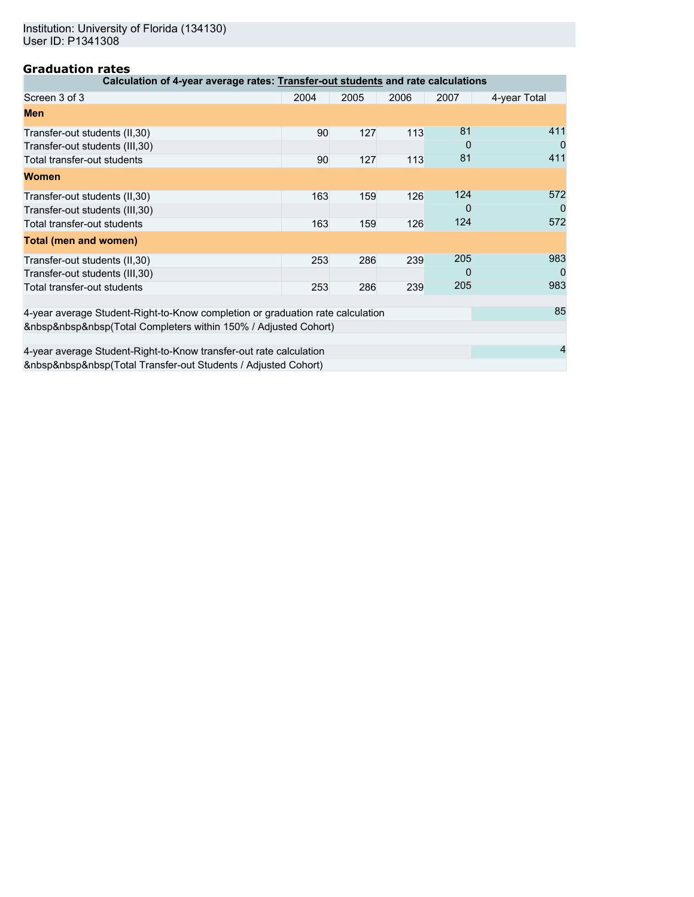# **Graduation rates**

| 91 GWMG CIVII I<br>Calculation of 4-year average rates: Transfer-out students and rate calculations |      |      |      |          |              |  |
|-----------------------------------------------------------------------------------------------------|------|------|------|----------|--------------|--|
|                                                                                                     |      |      |      |          |              |  |
| Screen 3 of 3                                                                                       | 2004 | 2005 | 2006 | 2007     | 4-year Total |  |
| <b>Men</b>                                                                                          |      |      |      |          |              |  |
| Transfer-out students (II, 30)                                                                      | 90   | 127  | 113  | 81       | 411          |  |
| Transfer-out students (III, 30)                                                                     |      |      |      | 0        | 0            |  |
| Total transfer-out students                                                                         | 90   | 127  | 113  | 81       | 411          |  |
| <b>Women</b>                                                                                        |      |      |      |          |              |  |
| Transfer-out students (II, 30)                                                                      | 163  | 159  | 126  | 124      | 572          |  |
| Transfer-out students (III, 30)                                                                     |      |      |      | 0        |              |  |
| Total transfer-out students                                                                         | 163  | 159  | 126  | 124      | 572          |  |
| <b>Total (men and women)</b>                                                                        |      |      |      |          |              |  |
| Transfer-out students (II, 30)                                                                      | 253  | 286  | 239  | 205      | 983          |  |
| Transfer-out students (III, 30)                                                                     |      |      |      | $\Omega$ |              |  |
| Total transfer-out students                                                                         | 253  | 286  | 239  | 205      | 983          |  |
|                                                                                                     |      |      |      |          |              |  |
| 4-year average Student-Right-to-Know completion or graduation rate calculation                      |      |      |      |          | 85           |  |
| (Total Completers within 150% / Adjusted Cohort)                                                    |      |      |      |          |              |  |
| 4-year average Student-Right-to-Know transfer-out rate calculation                                  |      |      |      |          |              |  |
| (Total Transfer-out Students / Adjusted Cohort)                                                     |      |      |      |          |              |  |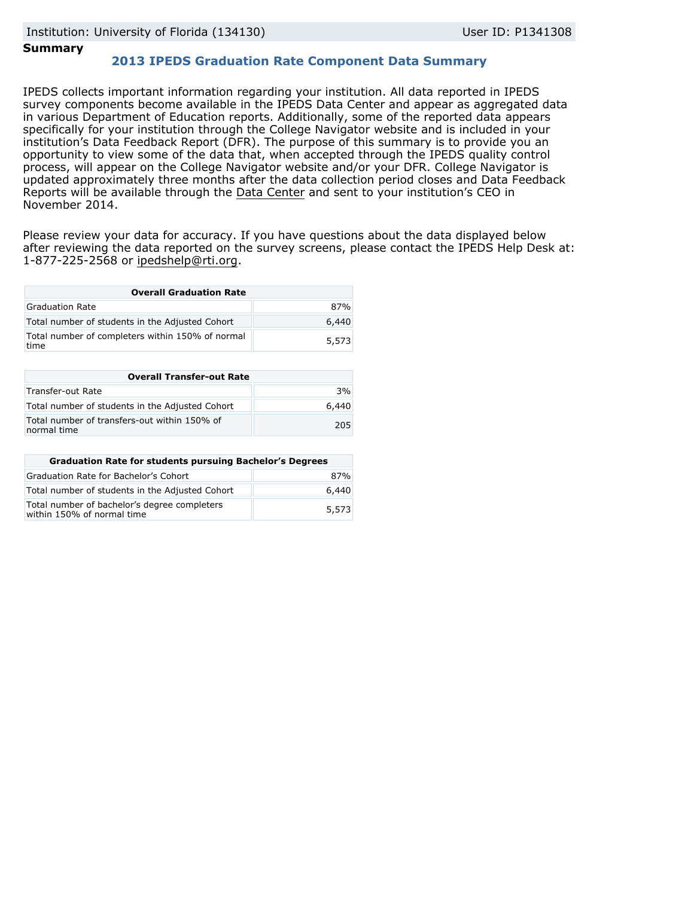### **Summary**

## **2013 IPEDS Graduation Rate Component Data Summary**

IPEDS collects important information regarding your institution. All data reported in IPEDS survey components become available in the IPEDS Data Center and appear as aggregated data in various Department of Education reports. Additionally, some of the reported data appears specifically for your institution through the College Navigator website and is included in your institution's Data Feedback Report (DFR). The purpose of this summary is to provide you an opportunity to view some of the data that, when accepted through the IPEDS quality control process, will appear on the College Navigator website and/or your DFR. College Navigator is updated approximately three months after the data collection period closes and Data Feedback Reports will be available through the [Data Center](http://nces.ed.gov/ipeds/datacenter/) and sent to your institution's CEO in November 2014.

Please review your data for accuracy. If you have questions about the data displayed below after reviewing the data reported on the survey screens, please contact the IPEDS Help Desk at: 1-877-225-2568 or ipedshelp@rti.org.

| <b>Overall Graduation Rate</b>                           |       |  |  |  |
|----------------------------------------------------------|-------|--|--|--|
| Graduation Rate                                          | 87%   |  |  |  |
| Total number of students in the Adjusted Cohort          | 6,440 |  |  |  |
| Total number of completers within 150% of normal<br>time | 5,573 |  |  |  |

| <b>Overall Transfer-out Rate</b>                            |       |  |  |
|-------------------------------------------------------------|-------|--|--|
| Transfer-out Rate                                           | 3%    |  |  |
| Total number of students in the Adjusted Cohort             | 6.440 |  |  |
| Total number of transfers-out within 150% of<br>normal time | 205   |  |  |

| <b>Graduation Rate for students pursuing Bachelor's Degrees</b>            |       |  |  |  |
|----------------------------------------------------------------------------|-------|--|--|--|
| Graduation Rate for Bachelor's Cohort                                      | 87%   |  |  |  |
| Total number of students in the Adjusted Cohort                            | 6,440 |  |  |  |
| Total number of bachelor's degree completers<br>within 150% of normal time | 5,573 |  |  |  |